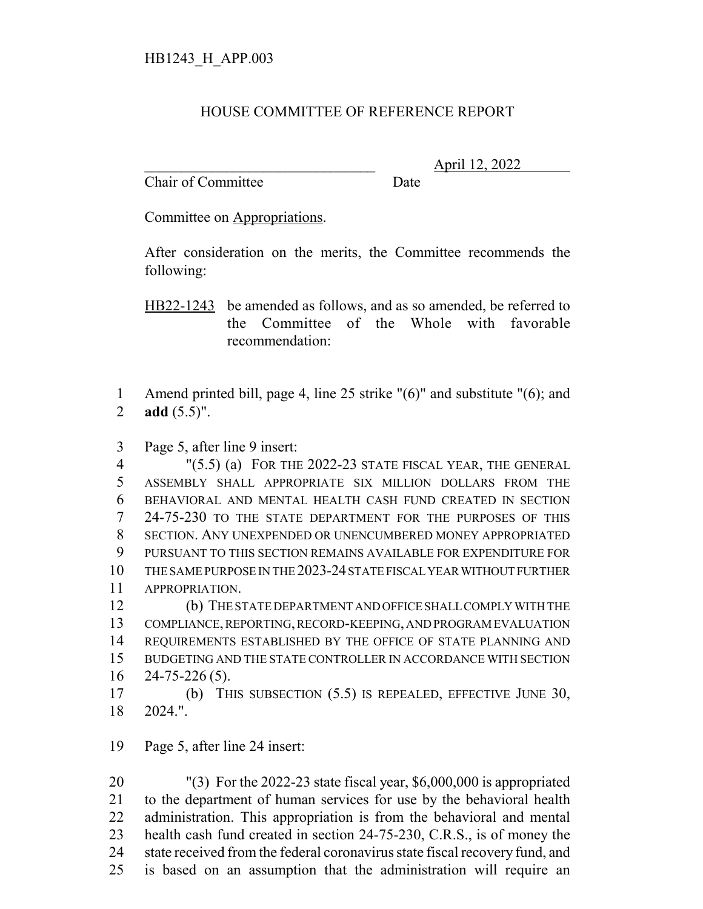## HOUSE COMMITTEE OF REFERENCE REPORT

Chair of Committee Date

\_\_\_\_\_\_\_\_\_\_\_\_\_\_\_\_\_\_\_\_\_\_\_\_\_\_\_\_\_\_\_ April 12, 2022

Committee on Appropriations.

After consideration on the merits, the Committee recommends the following:

HB22-1243 be amended as follows, and as so amended, be referred to the Committee of the Whole with favorable recommendation:

 Amend printed bill, page 4, line 25 strike "(6)" and substitute "(6); and **add** (5.5)".

Page 5, after line 9 insert:

 "(5.5) (a) FOR THE 2022-23 STATE FISCAL YEAR, THE GENERAL ASSEMBLY SHALL APPROPRIATE SIX MILLION DOLLARS FROM THE BEHAVIORAL AND MENTAL HEALTH CASH FUND CREATED IN SECTION 24-75-230 TO THE STATE DEPARTMENT FOR THE PURPOSES OF THIS SECTION. ANY UNEXPENDED OR UNENCUMBERED MONEY APPROPRIATED PURSUANT TO THIS SECTION REMAINS AVAILABLE FOR EXPENDITURE FOR THE SAME PURPOSE IN THE 2023-24 STATE FISCAL YEAR WITHOUT FURTHER APPROPRIATION.

 (b) THE STATE DEPARTMENT AND OFFICE SHALL COMPLY WITH THE COMPLIANCE, REPORTING, RECORD-KEEPING, AND PROGRAM EVALUATION REQUIREMENTS ESTABLISHED BY THE OFFICE OF STATE PLANNING AND BUDGETING AND THE STATE CONTROLLER IN ACCORDANCE WITH SECTION 24-75-226 (5).

 (b) THIS SUBSECTION (5.5) IS REPEALED, EFFECTIVE JUNE 30, 2024.".

Page 5, after line 24 insert:

 "(3) For the 2022-23 state fiscal year, \$6,000,000 is appropriated to the department of human services for use by the behavioral health administration. This appropriation is from the behavioral and mental health cash fund created in section 24-75-230, C.R.S., is of money the state received from the federal coronavirus state fiscal recovery fund, and is based on an assumption that the administration will require an